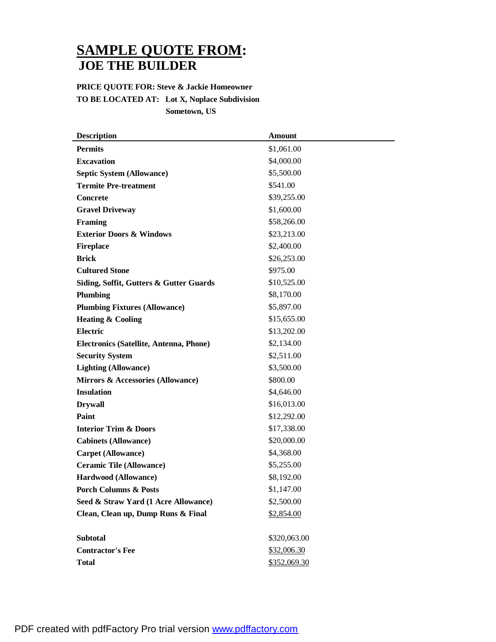## **SAMPLE QUOTE FROM: JOE THE BUILDER**

## **PRICE QUOTE FOR: Steve & Jackie Homeowner TO BE LOCATED AT: Lot X, Noplace Subdivision Sometown, US**

| <b>Description</b>                      | <b>Amount</b> |
|-----------------------------------------|---------------|
| <b>Permits</b>                          | \$1,061.00    |
| <b>Excavation</b>                       | \$4,000.00    |
| <b>Septic System (Allowance)</b>        | \$5,500.00    |
| <b>Termite Pre-treatment</b>            | \$541.00      |
| <b>Concrete</b>                         | \$39,255.00   |
| <b>Gravel Driveway</b>                  | \$1,600.00    |
| Framing                                 | \$58,266.00   |
| <b>Exterior Doors &amp; Windows</b>     | \$23,213.00   |
| <b>Fireplace</b>                        | \$2,400.00    |
| <b>Brick</b>                            | \$26,253.00   |
| <b>Cultured Stone</b>                   | \$975.00      |
| Siding, Soffit, Gutters & Gutter Guards | \$10,525.00   |
| Plumbing                                | \$8,170.00    |
| <b>Plumbing Fixtures (Allowance)</b>    | \$5,897.00    |
| <b>Heating &amp; Cooling</b>            | \$15,655.00   |
| <b>Electric</b>                         | \$13,202.00   |
| Electronics (Satellite, Antenna, Phone) | \$2,134.00    |
| <b>Security System</b>                  | \$2,511.00    |
| <b>Lighting (Allowance)</b>             | \$3,500.00    |
| Mirrors & Accessories (Allowance)       | \$800.00      |
| <b>Insulation</b>                       | \$4,646.00    |
| <b>Drywall</b>                          | \$16,013.00   |
| Paint                                   | \$12,292.00   |
| <b>Interior Trim &amp; Doors</b>        | \$17,338.00   |
| <b>Cabinets (Allowance)</b>             | \$20,000.00   |
| <b>Carpet (Allowance)</b>               | \$4,368.00    |
| <b>Ceramic Tile (Allowance)</b>         | \$5,255.00    |
| Hardwood (Allowance)                    | \$8,192.00    |
| <b>Porch Columns &amp; Posts</b>        | \$1,147.00    |
| Seed & Straw Yard (1 Acre Allowance)    | \$2,500.00    |
| Clean, Clean up, Dump Runs & Final      | \$2,854.00    |
|                                         |               |
| <b>Subtotal</b>                         | \$320,063.00  |
| <b>Contractor's Fee</b>                 | \$32,006.30   |
| <b>Total</b>                            | \$352,069.30  |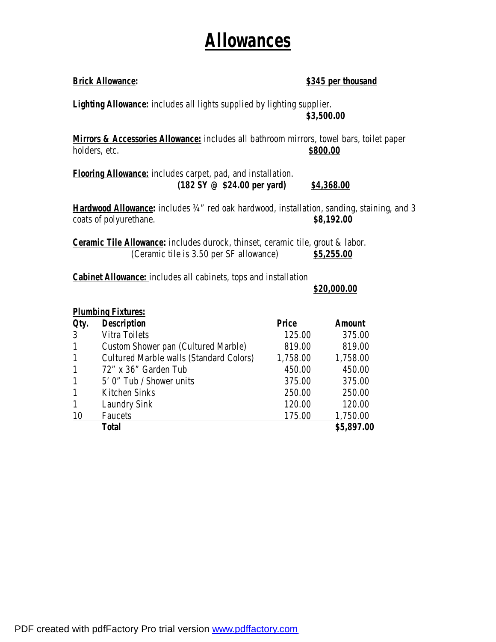## **Allowances**

| <b>Brick Allowance:</b>                                                                                              | \$345 per thousand |
|----------------------------------------------------------------------------------------------------------------------|--------------------|
| <u>Lighting Allowance:</u> includes all lights supplied by <u>lighting supplier</u> .                                | \$3,500.00         |
| Mirrors & Accessories Allowance: includes all bathroom mirrors, towel bars, toilet paper<br>holders, etc.            | \$800.00           |
| Flooring Allowance: includes carpet, pad, and installation.<br>$(182 \text{ SY } \textcircled{e}$ \$24.00 per yard)  | \$4,368.00         |
| Hardwood Allowance: includes 3/4" red oak hardwood, installation, sanding, staining, and 3<br>coats of polyurethane. | \$8,192.00         |

**Ceramic Tile Allowance:** includes durock, thinset, ceramic tile, grout & labor. (Ceramic tile is 3.50 per SF allowance) \$5,255.00

**Cabinet Allowance:** includes all cabinets, tops and installation

**\$20,000.00**

| <b>Plumbing Fixtures:</b> |                                                |          |               |  |
|---------------------------|------------------------------------------------|----------|---------------|--|
| Qty.                      | <b>Description</b>                             | Price    | <b>Amount</b> |  |
| 3                         | <b>Vitra Toilets</b>                           | 125.00   | 375.00        |  |
| $\mathbf{1}$              | <b>Custom Shower pan (Cultured Marble)</b>     | 819.00   | 819.00        |  |
| $\mathbf{1}$              | <b>Cultured Marble walls (Standard Colors)</b> | 1,758.00 | 1,758.00      |  |
| $\mathbf{1}$              | 72" x 36" Garden Tub                           | 450.00   | 450.00        |  |
| $\mathbf{1}$              | 5' 0" Tub / Shower units                       | 375.00   | 375.00        |  |
| $\mathbf{1}$              | <b>Kitchen Sinks</b>                           | 250.00   | 250.00        |  |
| $\mathbf{1}$              | <b>Laundry Sink</b>                            | 120.00   | 120.00        |  |
| 10                        | <b>Faucets</b>                                 | 175.00   | 1,750.00      |  |
|                           | <b>Total</b>                                   |          | \$5,897.00    |  |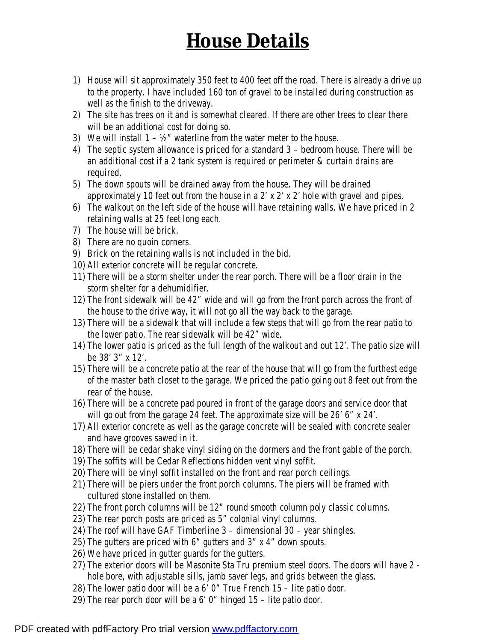## **House Details**

- 1) House will sit approximately 350 feet to 400 feet off the road. There is already a drive up to the property. I have included 160 ton of gravel to be installed during construction as well as the finish to the driveway.
- 2) The site has trees on it and is somewhat cleared. If there are other trees to clear there will be an additional cost for doing so.
- 3) We will install  $1 \frac{1}{2}$ " waterline from the water meter to the house.
- 4) The septic system allowance is priced for a standard 3 bedroom house. There will be an additional cost if a 2 tank system is required or perimeter & curtain drains are required.
- 5) The down spouts will be drained away from the house. They will be drained approximately 10 feet out from the house in a 2' x 2' x 2' hole with gravel and pipes.
- 6) The walkout on the left side of the house will have retaining walls. We have priced in 2 retaining walls at 25 feet long each.
- 7) The house will be brick.
- 8) There are no quoin corners.
- 9) Brick on the retaining walls is not included in the bid.
- 10) All exterior concrete will be regular concrete.
- 11) There will be a storm shelter under the rear porch. There will be a floor drain in the storm shelter for a dehumidifier.
- 12) The front sidewalk will be 42" wide and will go from the front porch across the front of the house to the drive way, it will not go all the way back to the garage.
- 13) There will be a sidewalk that will include a few steps that will go from the rear patio to the lower patio. The rear sidewalk will be 42" wide.
- 14) The lower patio is priced as the full length of the walkout and out 12'. The patio size will be 38' 3" x 12'.
- 15) There will be a concrete patio at the rear of the house that will go from the furthest edge of the master bath closet to the garage. We priced the patio going out 8 feet out from the rear of the house.
- 16) There will be a concrete pad poured in front of the garage doors and service door that will go out from the garage 24 feet. The approximate size will be 26' 6" x 24'.
- 17) All exterior concrete as well as the garage concrete will be sealed with concrete sealer and have grooves sawed in it.
- 18) There will be cedar shake vinyl siding on the dormers and the front gable of the porch.
- 19) The soffits will be Cedar Reflections hidden vent vinyl soffit.
- 20) There will be vinyl soffit installed on the front and rear porch ceilings.
- 21) There will be piers under the front porch columns. The piers will be framed with cultured stone installed on them.
- 22) The front porch columns will be 12" round smooth column poly classic columns.
- 23) The rear porch posts are priced as 5" colonial vinyl columns.
- 24) The roof will have GAF Timberline 3 dimensional 30 year shingles.
- 25) The gutters are priced with 6" gutters and 3" x 4" down spouts.
- 26) We have priced in gutter guards for the gutters.
- 27) The exterior doors will be Masonite Sta Tru premium steel doors. The doors will have 2 hole bore, with adjustable sills, jamb saver legs, and grids between the glass.
- 28) The lower patio door will be a 6' 0" True French 15 lite patio door.
- 29) The rear porch door will be a 6' 0" hinged 15 lite patio door.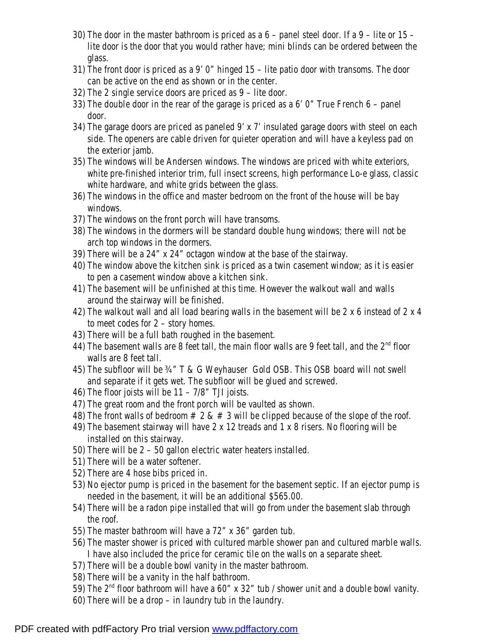- 30) The door in the master bathroom is priced as a 6 panel steel door. If a 9 lite or 15 lite door is the door that you would rather have; mini blinds can be ordered between the glass.
- 31) The front door is priced as a 9' 0" hinged 15 lite patio door with transoms. The door can be active on the end as shown or in the center.
- 32) The 2 single service doors are priced as 9 lite door.
- 33) The double door in the rear of the garage is priced as a 6' 0" True French 6 panel door.
- 34) The garage doors are priced as paneled 9' x 7' insulated garage doors with steel on each side. The openers are cable driven for quieter operation and will have a keyless pad on the exterior jamb.
- 35) The windows will be Andersen windows. The windows are priced with white exteriors, white pre-finished interior trim, full insect screens, high performance Lo-e glass, classic white hardware, and white grids between the glass.
- 36) The windows in the office and master bedroom on the front of the house will be bay windows.
- 37) The windows on the front porch will have transoms.
- 38) The windows in the dormers will be standard double hung windows; there will not be arch top windows in the dormers.
- 39) There will be a 24" x 24" octagon window at the base of the stairway.
- 40) The window above the kitchen sink is priced as a twin casement window; as it is easier to pen a casement window above a kitchen sink.
- 41) The basement will be unfinished at this time. However the walkout wall and walls around the stairway will be finished.
- 42) The walkout wall and all load bearing walls in the basement will be 2 x 6 instead of 2 x 4 to meet codes for 2 – story homes.
- 43) There will be a full bath roughed in the basement.
- 44) The basement walls are 8 feet tall, the main floor walls are 9 feet tall, and the  $2<sup>nd</sup>$  floor walls are 8 feet tall.
- 45) The subfloor will be ¾" T & G Weyhauser Gold OSB. This OSB board will not swell and separate if it gets wet. The subfloor will be glued and screwed.
- 46) The floor joists will be  $11 7/8$ " TJI joists.
- 47) The great room and the front porch will be vaulted as shown.
- 48) The front walls of bedroom  $\# 2 \& \# 3$  will be clipped because of the slope of the roof.
- 49) The basement stairway will have 2 x 12 treads and 1 x 8 risers. No flooring will be installed on this stairway.
- 50) There will be 2 50 gallon electric water heaters installed.
- 51) There will be a water softener.
- 52) There are 4 hose bibs priced in.
- 53) No ejector pump is priced in the basement for the basement septic. If an ejector pump is needed in the basement, it will be an additional \$565.00.
- 54) There will be a radon pipe installed that will go from under the basement slab through the roof.
- 55) The master bathroom will have a 72" x 36" garden tub.
- 56) The master shower is priced with cultured marble shower pan and cultured marble walls. I have also included the price for ceramic tile on the walls on a separate sheet.
- 57) There will be a double bowl vanity in the master bathroom.
- 58) There will be a vanity in the half bathroom.
- 59) The  $2<sup>nd</sup>$  floor bathroom will have a 60" x 32" tub / shower unit and a double bowl vanity.
- 60) There will be a drop in laundry tub in the laundry.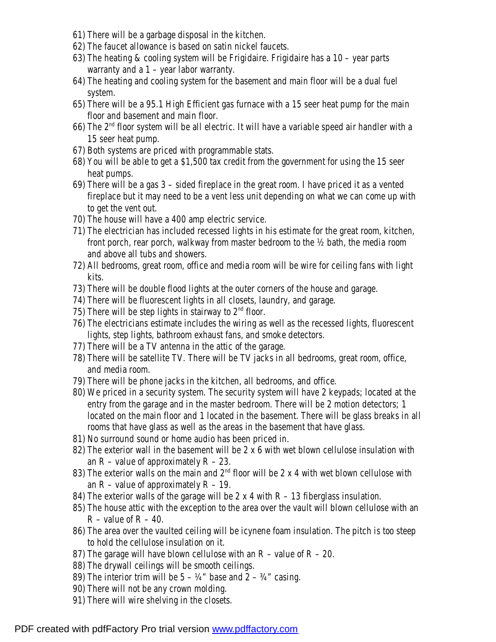- 61) There will be a garbage disposal in the kitchen.
- 62) The faucet allowance is based on satin nickel faucets.
- 63) The heating & cooling system will be Frigidaire. Frigidaire has a 10 year parts warranty and a  $1$  – year labor warranty.
- 64) The heating and cooling system for the basement and main floor will be a dual fuel system.
- 65) There will be a 95.1 High Efficient gas furnace with a 15 seer heat pump for the main floor and basement and main floor.
- 66) The  $2<sup>nd</sup>$  floor system will be all electric. It will have a variable speed air handler with a 15 seer heat pump.
- 67) Both systems are priced with programmable stats.
- 68) You will be able to get a \$1,500 tax credit from the government for using the 15 seer heat pumps.
- 69) There will be a gas 3 sided fireplace in the great room. I have priced it as a vented fireplace but it may need to be a vent less unit depending on what we can come up with to get the vent out.
- 70) The house will have a 400 amp electric service.
- 71) The electrician has included recessed lights in his estimate for the great room, kitchen, front porch, rear porch, walkway from master bedroom to the ½ bath, the media room and above all tubs and showers.
- 72) All bedrooms, great room, office and media room will be wire for ceiling fans with light kits.
- 73) There will be double flood lights at the outer corners of the house and garage.
- 74) There will be fluorescent lights in all closets, laundry, and garage.
- 75) There will be step lights in stairway to  $2<sup>nd</sup>$  floor.
- 76) The electricians estimate includes the wiring as well as the recessed lights, fluorescent lights, step lights, bathroom exhaust fans, and smoke detectors.
- 77) There will be a TV antenna in the attic of the garage.
- 78) There will be satellite TV. There will be TV jacks in all bedrooms, great room, office, and media room.
- 79) There will be phone jacks in the kitchen, all bedrooms, and office.
- 80) We priced in a security system. The security system will have 2 keypads; located at the entry from the garage and in the master bedroom. There will be 2 motion detectors; 1 located on the main floor and 1 located in the basement. There will be glass breaks in all rooms that have glass as well as the areas in the basement that have glass.
- 81) No surround sound or home audio has been priced in.
- 82) The exterior wall in the basement will be 2 x 6 with wet blown cellulose insulation with an  $R$  – value of approximately  $R$  – 23.
- 83) The exterior walls on the main and  $2<sup>nd</sup>$  floor will be 2 x 4 with wet blown cellulose with an  $R$  – value of approximately  $R$  – 19.
- 84) The exterior walls of the garage will be 2  $x$  4 with  $R 13$  fiberglass insulation.
- 85) The house attic with the exception to the area over the vault will blown cellulose with an  $R - value$  of  $R - 40$ .
- 86) The area over the vaulted ceiling will be icynene foam insulation. The pitch is too steep to hold the cellulose insulation on it.
- 87) The garage will have blown cellulose with an  $R$  value of  $R 20$ .
- 88) The drywall ceilings will be smooth ceilings.
- 89) The interior trim will be  $5 \frac{1}{4}$  base and  $2 \frac{3}{4}$  casing.
- 90) There will not be any crown molding.
- 91) There will wire shelving in the closets.